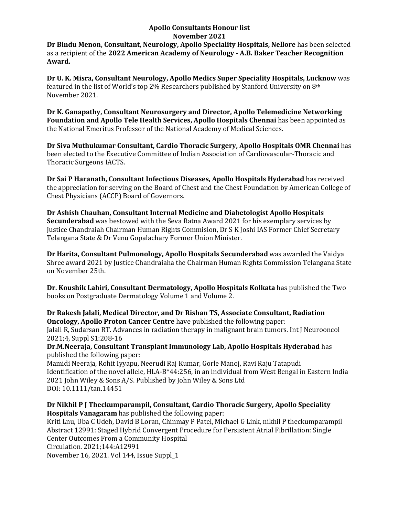#### **Apollo Consultants Honour list November 2021 Dr Bindu Menon, Consultant, Neurology, Apollo Speciality Hospitals, Nellore** has been selected as a recipient of the **2022 American Academy of Neurology - A.B. Baker Teacher Recognition Award.**

**Dr U. K. Misra, Consultant Neurology, Apollo Medics Super Speciality Hospitals, Lucknow** was featured in the list of World's top 2% Researchers published by Stanford University on 8th November 2021.

**Dr K. Ganapathy, Consultant Neurosurgery and Director, Apollo Telemedicine Networking Foundation and Apollo Tele Health Services, Apollo Hospitals Chennai** has been appointed as the National Emeritus Professor of the National Academy of Medical Sciences.

**Dr Siva Muthukumar Consultant, Cardio Thoracic Surgery, Apollo Hospitals OMR Chennai** has been elected to the Executive Committee of Indian Association of Cardiovascular-Thoracic and Thoracic Surgeons IACTS.

**Dr Sai P Haranath, Consultant Infectious Diseases, Apollo Hospitals Hyderabad** has received the appreciation for serving on the Board of Chest and the Chest Foundation by American College of Chest Physicians (ACCP) Board of Governors.

**Dr Ashish Chauhan, Consultant Internal Medicine and Diabetologist Apollo Hospitals Secunderabad** was bestowed with the Seva Ratna Award 2021 for his exemplary services by Justice Chandraiah Chairman Human Rights Commision, Dr S K Joshi IAS Former Chief Secretary Telangana State & Dr Venu Gopalachary Former Union Minister.

**Dr Harita, Consultant Pulmonology, Apollo Hospitals Secunderabad** was awarded the Vaidya Shree award 2021 by Justice Chandraiaha the Chairman Human Rights Commission Telangana State on November 25th.

**Dr. Koushik Lahiri, Consultant Dermatology, Apollo Hospitals Kolkata** has published the Two books on Postgraduate Dermatology Volume 1 and Volume 2.

**Dr Rakesh Jalali, Medical Director, and Dr Rishan TS, Associate Consultant, Radiation Oncology, Apollo Proton Cancer Centre** have published the following paper:

Jalali R, Sudarsan RT. Advances in radiation therapy in malignant brain tumors. Int J Neurooncol 2021;4, Suppl S1:208-16

**Dr.M.Neeraja, Consultant Transplant Immunology Lab, Apollo Hospitals Hyderabad** has published the following paper:

Mamidi Neeraja, Rohit Iyyapu, Neerudi Raj Kumar, Gorle Manoj, Ravi Raju Tatapudi Identification of the novel allele, HLA-B\*44:256, in an individual from West Bengal in Eastern India 2021 John Wiley & Sons A/S. Published by John Wiley & Sons Ltd DOI: 10.1111/tan.14451

**Dr Nikhil P J Theckumparampil, Consultant, Cardio Thoracic Surgery, Apollo Speciality Hospitals Vanagaram** has published the following paper:

[Kriti Lnu, Uba C Udeh, David B Loran, Chinmay P Patel, Michael G Link, nikhil P theckumparampil](https://apc01.safelinks.protection.outlook.com/?url=https%3A%2F%2Fwww.ahajournals.org%2Fdoi%2Fabs%2F10.1161%2Fcirc.144.suppl_1.12991&data=04%7C01%7Cdranil_t%40apollohospitalsdelhi.com%7C7df957e2820b42ef535208d9c1fc87dc%7C6a4994b0b5fa40878c728214c8b7bc21%7C0%7C0%7C637754112657656998%7CUnknown%7CTWFpbGZsb3d8eyJWIjoiMC4wLjAwMDAiLCJQIjoiV2luMzIiLCJBTiI6Ik1haWwiLCJXVCI6Mn0%3D%7C3000&sdata=npVfzJ3lHmJBpYPaAMki%2BvW87YpDyYJrjRCdcnvmeik%3D&reserved=0) Abstract 12991: Staged Hybrid Convergent Procedure for Persistent Atrial Fibrillation: Single Center Outcomes From a Community Hospital Circulation. 2021;144:A12991 November 16, 2021. Vol 144, Issue Suppl\_1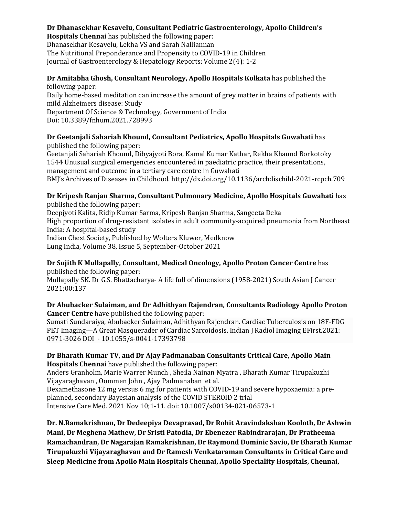## **Dr Dhanasekhar Kesavelu, Consultant Pediatric Gastroenterology, Apollo Children's**

**Hospitals Chennai** has published the following paper: Dhanasekhar Kesavelu, Lekha VS and Sarah Nalliannan The Nutritional Preponderance and Propensity to COVID-19 in Children Journal of Gastroenterology & Hepatology Reports; Volume 2(4): 1-2

#### **Dr Amitabha Ghosh, Consultant Neurology, Apollo Hospitals Kolkata** has published the following paper:

Daily home-based meditation can increase the amount of grey matter in brains of patients with mild Alzheimers disease: Study

Department Of Science & Technology, Government of India Doi: 10.3389/fnhum.2021.728993

# **Dr Geetanjali Sahariah Khound, Consultant Pediatrics, Apollo Hospitals Guwahati** has

published the following paper:

Geetanjali Sahariah Khound, Dibyajyoti Bora, Kamal Kumar Kathar, Rekha Khaund Borkotoky 1544 Unusual surgical emergencies encountered in paediatric practice, their presentations, management and outcome in a tertiary care centre in Guwahati BMJ's Archives of Diseases in Childhood. [http://dx.doi.org/10.1136/archdischild-2021-rcpch.709](https://apc01.safelinks.protection.outlook.com/?url=http%3A%2F%2Fdx.doi.org%2F10.1136%2Farchdischild-2021-rcpch.709&data=04%7C01%7Cdranil_t%40apollohospitalsdelhi.com%7C7df957e2820b42ef535208d9c1fc87dc%7C6a4994b0b5fa40878c728214c8b7bc21%7C0%7C0%7C637754112657656998%7CUnknown%7CTWFpbGZsb3d8eyJWIjoiMC4wLjAwMDAiLCJQIjoiV2luMzIiLCJBTiI6Ik1haWwiLCJXVCI6Mn0%3D%7C3000&sdata=XSg3YRIT7XFG05gcgUHxCqD3F584ZW5uveDJstoOJmU%3D&reserved=0)

#### **Dr Kripesh Ranjan Sharma, Consultant Pulmonary Medicine, Apollo Hospitals Guwahati** has published the following paper:

Deepjyoti Kalita, Ridip Kumar Sarma, Kripesh Ranjan Sharma, Sangeeta Deka High proportion of drug-resistant isolates in adult community-acquired pneumonia from Northeast India: A hospital-based study Indian Chest Society, Published by Wolters Kluwer, Medknow Lung India, Volume 38, Issue 5, September-October 2021

## **Dr Sujith K Mullapally, Consultant, Medical Oncology, Apollo Proton Cancer Centre** has published the following paper:

Mullapally SK. Dr G.S. Bhattacharya- A life full of dimensions (1958-2021) South Asian J Cancer 2021;00:137

### **Dr Abubacker Sulaiman, and Dr Adhithyan Rajendran, Consultants Radiology Apollo Proton Cancer Centre** have published the following paper:

Sumati Sundaraiya, Abubacker Sulaiman, Adhithyan Rajendran. Cardiac Tuberculosis on 18F-FDG PET Imaging—A Great Masquerader of Cardiac Sarcoidosis. Indian J Radiol Imaging EFirst.2021: 0971-3026 DOI - 10.1055/s-0041-17393798

### **Dr Bharath Kumar TV, and Dr Ajay Padmanaban Consultants Critical Care, Apollo Main Hospitals Chennai** have published the following paper:

[Anders Granholm,](https://apc01.safelinks.protection.outlook.com/?url=https%3A%2F%2Fpubmed.ncbi.nlm.nih.gov%2F%3Fterm%3DGranholm%2BA%26cauthor_id%3D34757439&data=04%7C01%7Cdranil_t%40apollohospitalsdelhi.com%7C7df957e2820b42ef535208d9c1fc87dc%7C6a4994b0b5fa40878c728214c8b7bc21%7C0%7C0%7C637754112657656998%7CUnknown%7CTWFpbGZsb3d8eyJWIjoiMC4wLjAwMDAiLCJQIjoiV2luMzIiLCJBTiI6Ik1haWwiLCJXVCI6Mn0%3D%7C3000&sdata=XABnWfyZzXKXyd6FDVckMvjCoZU0pQh9XN71m63yZi4%3D&reserved=0) [Marie Warrer Munch](https://apc01.safelinks.protection.outlook.com/?url=https%3A%2F%2Fpubmed.ncbi.nlm.nih.gov%2F%3Fterm%3DMunch%2BMW%26cauthor_id%3D34757439&data=04%7C01%7Cdranil_t%40apollohospitalsdelhi.com%7C7df957e2820b42ef535208d9c1fc87dc%7C6a4994b0b5fa40878c728214c8b7bc21%7C0%7C0%7C637754112657656998%7CUnknown%7CTWFpbGZsb3d8eyJWIjoiMC4wLjAwMDAiLCJQIjoiV2luMzIiLCJBTiI6Ik1haWwiLCJXVCI6Mn0%3D%7C3000&sdata=e%2FnhYyRbHd6aLyGs28nIUnu%2BeteNebP4WYUMrsurfbU%3D&reserved=0) , [Sheila Nainan Myatra](https://apc01.safelinks.protection.outlook.com/?url=https%3A%2F%2Fpubmed.ncbi.nlm.nih.gov%2F%3Fterm%3DMyatra%2BSN%26cauthor_id%3D34757439&data=04%7C01%7Cdranil_t%40apollohospitalsdelhi.com%7C7df957e2820b42ef535208d9c1fc87dc%7C6a4994b0b5fa40878c728214c8b7bc21%7C0%7C0%7C637754112657656998%7CUnknown%7CTWFpbGZsb3d8eyJWIjoiMC4wLjAwMDAiLCJQIjoiV2luMzIiLCJBTiI6Ik1haWwiLCJXVCI6Mn0%3D%7C3000&sdata=GNCgbE25qPU70JmTqDacRdfXin8KsXRXlQoRf%2BY%2FCRQ%3D&reserved=0) , [Bharath Kumar Tirupakuzhi](https://apc01.safelinks.protection.outlook.com/?url=https%3A%2F%2Fpubmed.ncbi.nlm.nih.gov%2F%3Fterm%3DVijayaraghavan%2BBKT%26cauthor_id%3D34757439&data=04%7C01%7Cdranil_t%40apollohospitalsdelhi.com%7C7df957e2820b42ef535208d9c1fc87dc%7C6a4994b0b5fa40878c728214c8b7bc21%7C0%7C0%7C637754112657656998%7CUnknown%7CTWFpbGZsb3d8eyJWIjoiMC4wLjAwMDAiLCJQIjoiV2luMzIiLCJBTiI6Ik1haWwiLCJXVCI6Mn0%3D%7C3000&sdata=dj2XIXYeTe4iWkM5BxYniYl2CVadpMQ3xIn6c%2FjqY2U%3D&reserved=0)  [Vijayaraghavan](https://apc01.safelinks.protection.outlook.com/?url=https%3A%2F%2Fpubmed.ncbi.nlm.nih.gov%2F%3Fterm%3DVijayaraghavan%2BBKT%26cauthor_id%3D34757439&data=04%7C01%7Cdranil_t%40apollohospitalsdelhi.com%7C7df957e2820b42ef535208d9c1fc87dc%7C6a4994b0b5fa40878c728214c8b7bc21%7C0%7C0%7C637754112657656998%7CUnknown%7CTWFpbGZsb3d8eyJWIjoiMC4wLjAwMDAiLCJQIjoiV2luMzIiLCJBTiI6Ik1haWwiLCJXVCI6Mn0%3D%7C3000&sdata=dj2XIXYeTe4iWkM5BxYniYl2CVadpMQ3xIn6c%2FjqY2U%3D&reserved=0) , [Oommen John](https://apc01.safelinks.protection.outlook.com/?url=https%3A%2F%2Fpubmed.ncbi.nlm.nih.gov%2F%3Fterm%3DJohn%2BO%26cauthor_id%3D34757439&data=04%7C01%7Cdranil_t%40apollohospitalsdelhi.com%7C7df957e2820b42ef535208d9c1fc87dc%7C6a4994b0b5fa40878c728214c8b7bc21%7C0%7C0%7C637754112657656998%7CUnknown%7CTWFpbGZsb3d8eyJWIjoiMC4wLjAwMDAiLCJQIjoiV2luMzIiLCJBTiI6Ik1haWwiLCJXVCI6Mn0%3D%7C3000&sdata=mKdJl1G2AA70YrOe5tTN50EEiygejo0wWItTZDpOqwc%3D&reserved=0) , [Ajay Padmanaban](https://apc01.safelinks.protection.outlook.com/?url=https%3A%2F%2Fpubmed.ncbi.nlm.nih.gov%2F%3Fterm%3DPadmanaban%2BA%26cauthor_id%3D34757439&data=04%7C01%7Cdranil_t%40apollohospitalsdelhi.com%7C7df957e2820b42ef535208d9c1fc87dc%7C6a4994b0b5fa40878c728214c8b7bc21%7C0%7C0%7C637754112657656998%7CUnknown%7CTWFpbGZsb3d8eyJWIjoiMC4wLjAwMDAiLCJQIjoiV2luMzIiLCJBTiI6Ik1haWwiLCJXVCI6Mn0%3D%7C3000&sdata=cya%2FcQkrFFDR6HafRbQb%2BE%2F9HJmQsJ08xhfdNwnAdWE%3D&reserved=0) et al.

Dexamethasone 12 mg versus 6 mg for patients with COVID-19 and severe hypoxaemia: a preplanned, secondary Bayesian analysis of the COVID STEROID 2 trial Intensive Care Med. 2021 Nov 10;1-11. doi: 10.1007/s00134-021-06573-1

**Dr. N.Ramakrishnan, Dr Dedeepiya Devaprasad, Dr Rohit Aravindakshan Kooloth, Dr Ashwin Mani, Dr Meghena Mathew, Dr Sristi Patodia, Dr Ebenezer Rabindrarajan, Dr Pratheema Ramachandran, Dr Nagarajan Ramakrishnan, Dr Raymond Dominic Savio, Dr Bharath [Kumar](mailto:bharath@icuconsultants.com)  [Tirupakuzhi Vijayaraghavan](mailto:bharath@icuconsultants.com) and Dr Ramesh Venkataraman Consultants in Critical Care and Sleep Medicine from Apollo Main Hospitals Chennai, Apollo Speciality Hospitals, Chennai,**